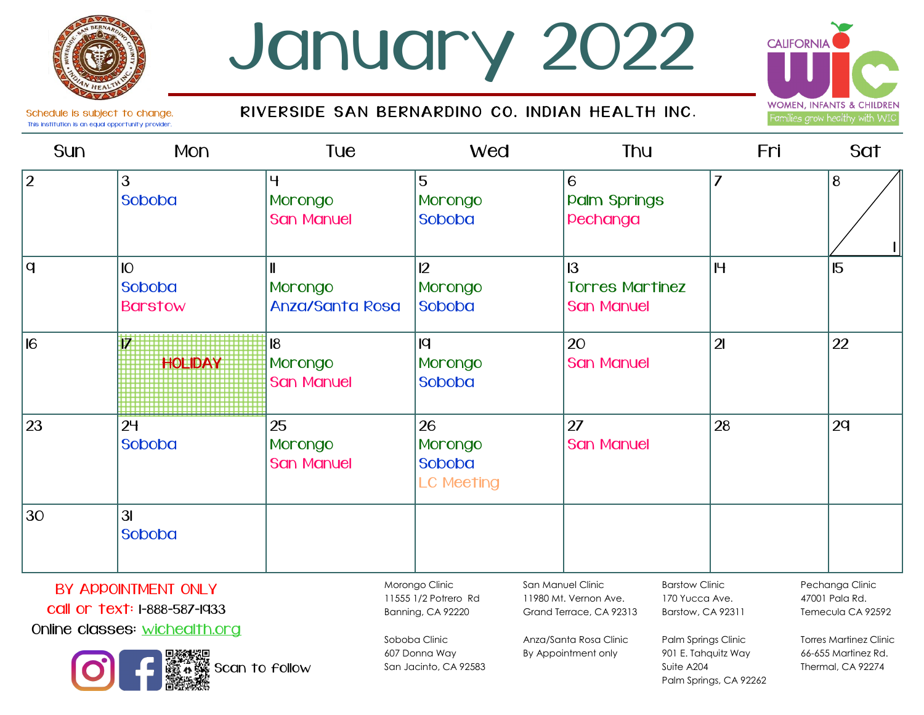# January 2022

Schedule is subject to change.  $R$  iv ERSIDE SAN BERNARDINO CO. INDIAN HEALTH INC.



Thermal, CA 92274

This institution is an equal opportunity provider.

#### Sun Mon Tue Wed Thu Fri Sat 2 3 Soboba 4 Morongo San Manuel 5 Morongo Soboba 6 **Palm Springs** Pechanga 7 | 8  $\overline{q}$  10 Soboba Barstow 11 Morongo Anza/Santa Rosa  $12<sup>°</sup>$ Morongo Soboba 13 **Torres Martinez** San Manuel 15 15 16 **17 HOLIDAY** 18 Morongo San Manuel  $|q|$ Morongo Soboba 20 **San Manuel** 21 22  $23$  |24 Soboba 25 Morongo **San Manuel** 26 Morongo Soboba LC Meeting  $27$ San Manuel 24 22  $30$   $31$ Soboba 1 Morongo Clinic 11555 1/2 Potrero Rd Banning, CA 92220 Soboba Clinic 607 Donna Way San Manuel Clinic 11980 Mt. Vernon Ave. Grand Terrace, CA 92313 Anza/Santa Rosa Clinic By Appointment only Barstow Clinic 170 Yucca Ave. Barstow, CA 92311 Palm Springs Clinic 901 E. Tahquitz Way Pechanga Clinic 47001 Pala Rd. Temecula CA 92592 Torres Martinez Clinic 66-655 Martinez Rd. BY APPOINTMENT ONLY call or text: 1-888-587-1933 Online classes: wichealth.org

San Jacinto, CA 92583

Suite A204

Palm Springs, CA 92262

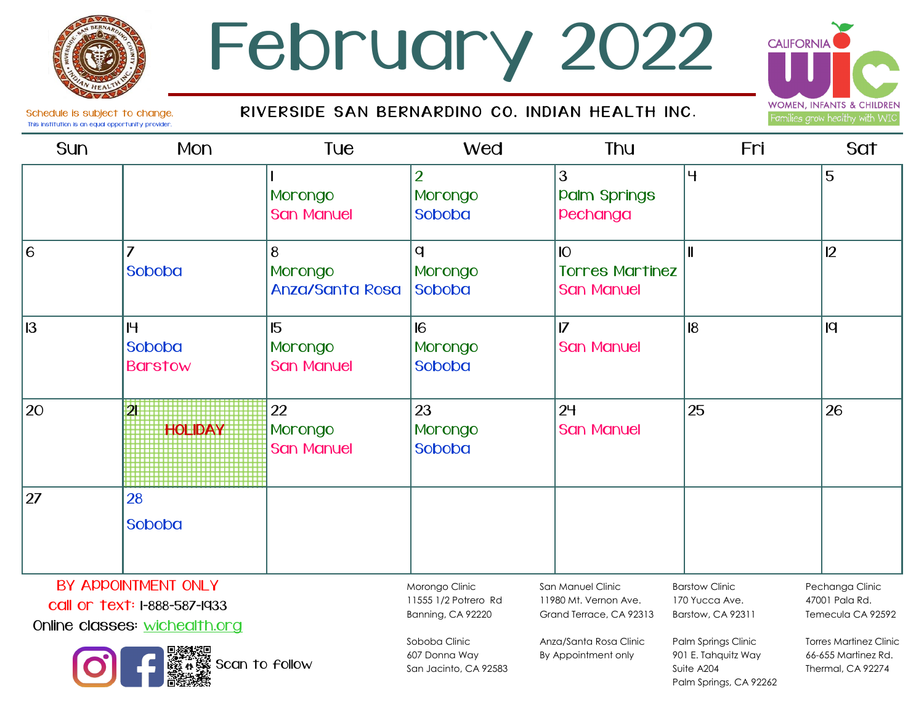### February 2022

#### RIVERSIDE SAN BERNARDINO CO. INDIAN HEALTH INC.



Schedule is subject to change. This institution is an equal opportunity provider.

| Sun                                                                                                    | Mon                           | Tue                                                                                                                    | <b>Wed</b>                                                                                                             | <b>Thu</b>                                                                                                               | Fri                                                                                                                                 | Sat |
|--------------------------------------------------------------------------------------------------------|-------------------------------|------------------------------------------------------------------------------------------------------------------------|------------------------------------------------------------------------------------------------------------------------|--------------------------------------------------------------------------------------------------------------------------|-------------------------------------------------------------------------------------------------------------------------------------|-----|
|                                                                                                        |                               | Morongo<br><b>San Manuel</b>                                                                                           | $\overline{2}$<br>Morongo<br>Soboba                                                                                    | 3<br><b>Palm Springs</b><br>pechanga                                                                                     | $\overline{4}$                                                                                                                      | 5   |
| 6                                                                                                      | $\overline{7}$<br>Soboba      | 8<br>Morongo<br><b>Anza/Santa Rosa</b>                                                                                 | q<br>Morongo<br><b>Soboba</b>                                                                                          | IO<br><b>Torres Martinez</b><br><b>San Manuel</b>                                                                        | $\mathbf{I}$                                                                                                                        | 12  |
| 13                                                                                                     | H<br>Soboba<br><b>Barstow</b> | 15<br>Morongo<br><b>San Manuel</b>                                                                                     | 16<br>Morongo<br><b>Soboba</b>                                                                                         | $\overline{17}$<br><b>San Manuel</b>                                                                                     | 8                                                                                                                                   | q   |
| 20                                                                                                     | 外<br><b>HOLIDAY</b>           | 22<br>Morongo<br><b>San Manuel</b>                                                                                     | 23<br>Morongo<br><b>Soboba</b>                                                                                         | 24<br><b>San Manuel</b>                                                                                                  | 25                                                                                                                                  | 26  |
| 27                                                                                                     | 28<br>Soboba                  |                                                                                                                        |                                                                                                                        |                                                                                                                          |                                                                                                                                     |     |
| BY APPOINTMENT ONLY<br>call or text: I-888-587-1933<br>Online classes: wichealth.org<br>Scan to follow |                               | Morongo Clinic<br>11555 1/2 Potrero Rd<br>Banning, CA 92220<br>Soboba Clinic<br>607 Donna Way<br>San Jacinto, CA 92583 | San Manuel Clinic<br>11980 Mt. Vernon Ave.<br>Grand Terrace, CA 92313<br>Anza/Santa Rosa Clinic<br>By Appointment only | <b>Barstow Clinic</b><br>170 Yucca Ave.<br>Barstow, CA 92311<br>Palm Springs Clinic<br>901 E. Tahquitz Way<br>Suite A204 | Pechanga Clinic<br>47001 Pala Rd.<br>Temecula CA 92592<br><b>Torres Martinez Clinic</b><br>66-655 Martinez Rd.<br>Thermal, CA 92274 |     |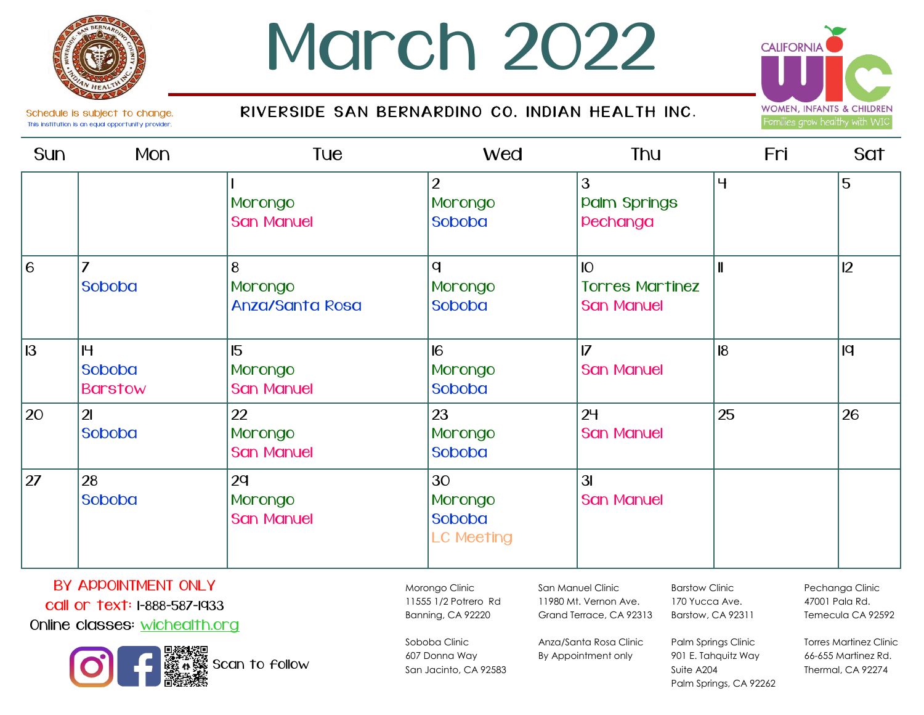## March 2022

### RIVERSIDE SAN BERNARDINO CO. INDIAN HEALTH INC.



Schedule is subject to change. This institution is an equal opportunity provider.

| Sun | Mon                           | Tue                                    | <b>Wed</b>                                   | <b>Thu</b>                                        | Fri                       | Sat |
|-----|-------------------------------|----------------------------------------|----------------------------------------------|---------------------------------------------------|---------------------------|-----|
|     |                               | Morongo<br><b>San Manuel</b>           | $\overline{2}$<br>Morongo<br>Soboba          | 3<br><b>Palm Springs</b><br>pechanga              | $^{\prime}$ 4 $^{\prime}$ | 5   |
| 6   | $\overline{7}$<br>Soboba      | 8<br>Morongo<br><b>Anza/Santa Rosa</b> | $\mathbf q$<br>Morongo<br>Soboba             | IO<br><b>Torres Martinez</b><br><b>San Manuel</b> | ║                         | 12  |
| 13  | H<br>Soboba<br><b>Barstow</b> | 15<br>Morongo<br><b>San Manuel</b>     | 6 <br>Morongo<br>Soboba                      | $\overline{7}$<br><b>San Manuel</b>               | 8                         | q   |
| 20  | 2 <sub>l</sub><br>Soboba      | 22<br>Morongo<br><b>San Manuel</b>     | 23<br>Morongo<br>Soboba                      | 2 <sup>4</sup><br><b>San Manuel</b>               | 25                        | 26  |
| 27  | 28<br>Soboba                  | 2q<br>Morongo<br><b>San Manuel</b>     | 30<br>Morongo<br>Soboba<br><b>LC Meeting</b> | 3I<br><b>San Manuel</b>                           |                           |     |

### BY APPOINTMENT ONLY call or text: 1-888-587-1933

Online classes: wichealth.org



11555 1/2 Potrero Rd Banning, CA 92220 Soboba Clinic

607 Donna Way San Jacinto, CA 92583

Morongo Clinic

San Manuel Clinic 11980 Mt. Vernon Ave. Grand Terrace, CA 92313

Barstow Clinic 170 Yucca Ave.

Suite A204

Anza/Santa Rosa Clinic By Appointment only

Barstow, CA 92311 Palm Springs Clinic

901 E. Tahquitz Way

Palm Springs, CA 92262

Pechanga Clinic 47001 Pala Rd. Temecula CA 92592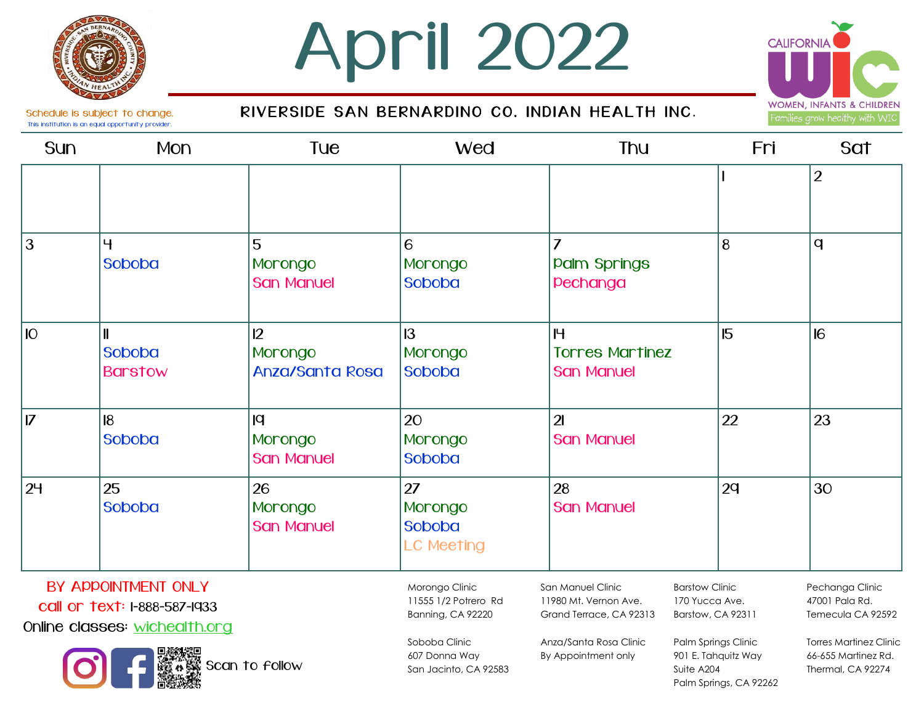

# April 2022





Schedule is subject to change. This institution is an equal opportunity provider.

| <b>Sun</b>                                          | Mon                                            | <b>Tue</b>                         | <b>Wed</b>                                                                          | <b>Thu</b>                                                                | Fri                                     | Sat                                                                     |
|-----------------------------------------------------|------------------------------------------------|------------------------------------|-------------------------------------------------------------------------------------|---------------------------------------------------------------------------|-----------------------------------------|-------------------------------------------------------------------------|
|                                                     |                                                |                                    |                                                                                     |                                                                           |                                         | $\overline{2}$                                                          |
| $\overline{3}$                                      | 4<br><b>Soboba</b>                             | 5<br>Morongo<br><b>San Manuel</b>  | 6<br>Morongo<br>Soboba                                                              | <b>Palm Springs</b><br>pechanga                                           | 8                                       | $\mathbf{q}$                                                            |
| <b>IO</b>                                           | $\mathbf l$<br><b>Soboba</b><br><b>Barstow</b> | 12<br>Morongo<br>Anza/Santa Rosa   | 13<br>Morongo<br>Soboba                                                             | H<br><b>Torres Martinez</b><br><b>San Manuel</b>                          | 15                                      | 16                                                                      |
| $\overline{17}$                                     | $\overline{8}$<br>Soboba                       | q <br>Morongo<br><b>San Manuel</b> | 20<br>Morongo<br>Soboba                                                             | $\overline{2}$<br><b>San Manuel</b>                                       | 22                                      | 23                                                                      |
| 24                                                  | 25<br>Soboba                                   | 26<br>Morongo<br><b>San Manuel</b> | 27<br>Morongo<br>Soboba<br><b>LC Meeting</b>                                        | 28<br><b>San Manuel</b>                                                   | 2q                                      | 30                                                                      |
| BY APPOINTMENT ONLY<br>call or text: I-888-587-1933 |                                                |                                    | Morongo Clinic<br>11555 1/2 Potrero Rd<br>$\sim$ $\sim$ $\sim$ $\sim$ $\sim$ $\sim$ | San Manuel Clinic<br>11980 Mt. Vernon Ave.<br>$\sim$ $\sim$ $\sim$ $\sim$ | <b>Barstow Clinic</b><br>170 Yucca Ave. | Pechanga Clinic<br>47001 Pala Rd.<br>$\sim$ $\sim$ $\sim$ $\sim$ $\sim$ |

Online classes: wichealth.org



Soboba Clinic 607 Donna Way San Jacinto, CA 92583

Banning, CA 92220

Grand Terrace, CA 92313

Anza/Santa Rosa Clinic By Appointment only

Barstow, CA 92311 Palm Springs Clinic

901 E. Tahquitz Way

Palm Springs, CA 92262

Suite A204

Temecula CA 92592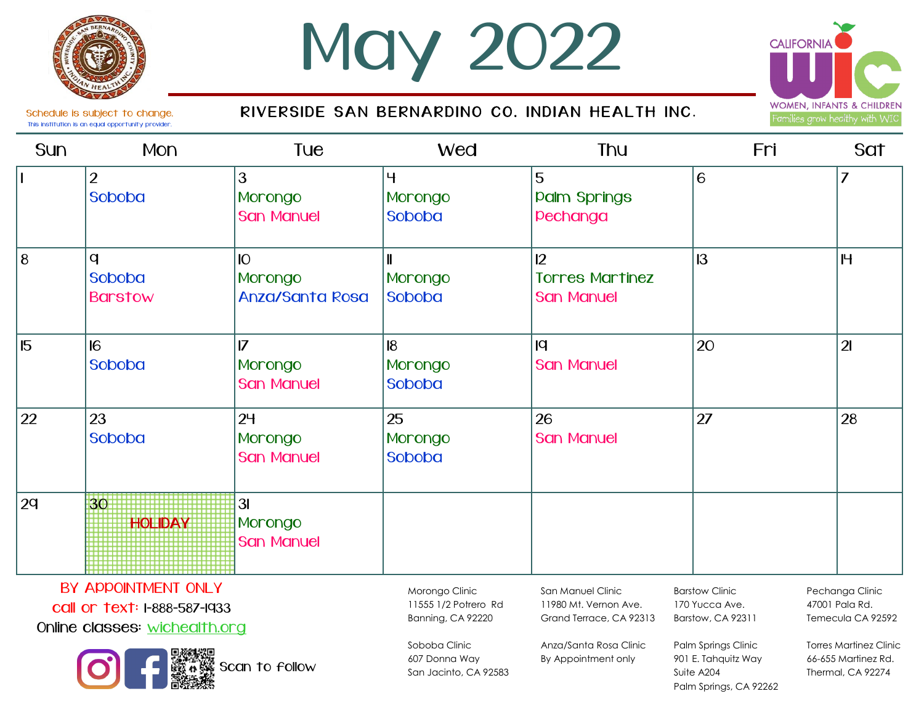

Schedule is subject to change. This institution is an equal opportunity provider.

# Max 2022

RIVERSIDE SAN BERNARDINO CO. INDIAN HEALTH INC.



Sun Mon Tue Wed Thu Fri Sat <sup>2</sup> Soboba 3 Morongo San Manuel 4 Morongo Soboba 5 **Palm Springs** Pechanga 6 6  $8$  |q Soboba Barstow 10 Morongo Anza/Santa Rosa 11 Morongo Soboba  $12<sup>°</sup>$ **Torres Martinez** San Manuel 13 15 15 16 Soboba  $\overline{17}$ Morongo **San Manuel** 18 Morongo Soboba  $|q|$ San Manuel 20 21  $22$  |23 Soboba  $24$ Morongo San Manuel 25 Morongo Soboba 26 San Manuel 27 28 29 30 **HOLIDAY** 31 Moronao San Manuel

BY ADDOINTMENT ONLY

call or text: 1-888-587-1933

Online classes: wichealth.org



Morongo Clinic 11555 1/2 Potrero Rd Banning, CA 92220

San Manuel Clinic 11980 Mt. Vernon Ave. Grand Terrace, CA 92313

Barstow Clinic 170 Yucca Ave. Barstow, CA 92311

Palm Springs, CA 92262

Pechanga Clinic 47001 Pala Rd. Temecula CA 92592

Soboba Clinic 607 Donna Way San Jacinto, CA 92583

Anza/Santa Rosa Clinic By Appointment only Palm Springs Clinic 901 E. Tahquitz Way Suite A204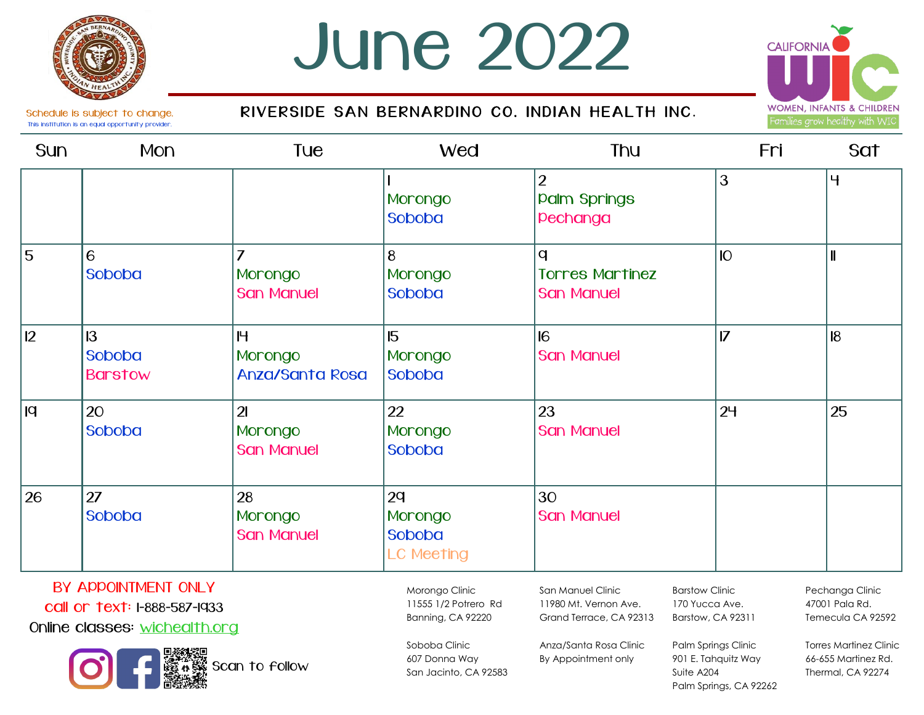Schedule is subject to change. This institution is an equal opportunity provider.

## **June 2022**

### RIVERSIDE SAN BERNARDINO CO. INDIAN HEALTH INC.



Sun Mpn Tue Wed Thu }oi Sat 1 Morongo Soboba 2 **Palm Springs** Pechanga 3 5 5 6 Soboba 7 **Morongo** San Manuel 4 Morongo Soboba  $\overline{a}$ Torres Martinez San Manuel 10 | II  $\vert$  13 Soboba Barstow  $H$ Morongo Anza/Santa Rosa 15 Morongo Soboba 16 San Manuel 17 | 18  $|9 \rangle$ Soboba 21 Morongo San Manuel 22 Morongo Soboba 23 San Manuel  $24$  |  $25$  $26$  |  $27$ Soboba 28 Morongo San Manuel  $2q$ Morongo Soboba LC Meeting 30 San Manuel

### BY ADDOINTMENT ON Y

call or text: 1-888-587-1933

Online classes: wichealth.org



Morongo Clinic 11555 1/2 Potrero Rd Banning, CA 92220

San Manuel Clinic 11980 Mt. Vernon Ave. Grand Terrace, CA 92313

Anza/Santa Rosa Clinic By Appointment only

Barstow Clinic 170 Yucca Ave. Barstow, CA 92311

Suite A204

Palm Springs Clinic 901 E. Tahquitz Way

Palm Springs, CA 92262

Pechanga Clinic 47001 Pala Rd. Temecula CA 92592

Torres Martinez Clinic 66-655 Martinez Rd. Thermal, CA 92274

Soboba Clinic 607 Donna Way San Jacinto, CA 92583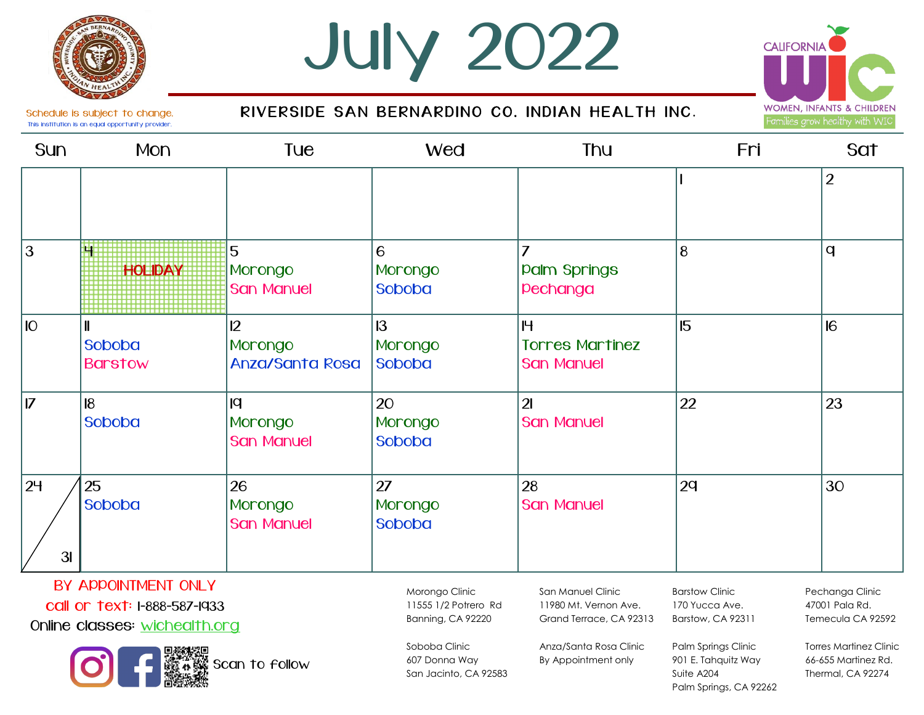

# ulx 2022



Schedule is subject to change. This institution is an equal opportunity provider.

### RIVERSIDE SAN BERNARDINO CO. INDIAN HEALTH INC.

| <b>Sun</b>           | <b>Mon</b>                              | Tue                                          | <b>Wed</b>                     | <b>Thu</b>                                       | Fri | Sat            |
|----------------------|-----------------------------------------|----------------------------------------------|--------------------------------|--------------------------------------------------|-----|----------------|
|                      |                                         |                                              |                                |                                                  |     | $\overline{2}$ |
| $\overline{3}$       | <b>HOLIDAY</b>                          | 5<br>Morongo<br><b>San Manuel</b>            | 6<br>Morongo<br>Soboba         | 7<br><b>Palm Springs</b><br>pechanga             | 8   | q              |
| IO                   | $\mathbf l$<br>Soboba<br><b>Barstow</b> | $\overline{2}$<br>Morongo<br>Anza/Santa Rosa | 13<br>Morongo<br>Soboba        | H<br><b>Torres Martinez</b><br><b>San Manuel</b> | 15  | 16             |
| $\overline{7}$       | $\overline{8}$<br>Soboba                | <b>p</b><br>Morongo<br><b>San Manuel</b>     | 20<br>Morongo<br>Soboba        | $\overline{2}$<br><b>San Manuel</b>              | 22  | 23             |
| 2 <sup>4</sup><br>3I | 25<br>Soboba                            | 26<br>Morongo<br><b>San Manuel</b>           | 27<br>Morongo<br><b>Soboba</b> | 28<br><b>San Manuel</b>                          | 2q  | 30             |
|                      | $\mathbf{a}$                            |                                              |                                |                                                  |     |                |

BY APPOINTMENT ONLY

call or text: 1-888-587-1933

Online classes: wichealth.org



Morongo Clinic 11555 1/2 Potrero Rd Banning, CA 92220

> Soboba Clinic 607 Donna Way San Jacinto, CA 92583

San Manuel Clinic 11980 Mt. Vernon Ave. Grand Terrace, CA 92313

Anza/Santa Rosa Clinic By Appointment only

Barstow Clinic 170 Yucca Ave. Barstow, CA 92311

Suite A204

Palm Springs Clinic 901 E. Tahquitz Way

Palm Springs, CA 92262

Pechanga Clinic 47001 Pala Rd. Temecula CA 92592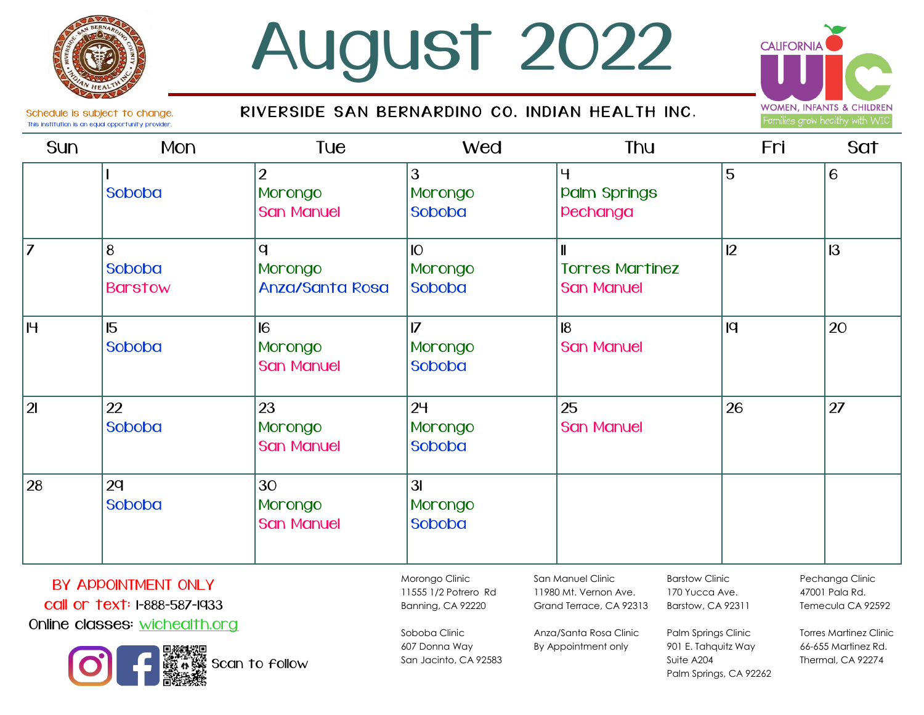## **August 2022**

#### RIVERSIDE SAN BERNARDINO CO. INDIAN HEALTH INC.



Schedule is subject to change. This institution is an equal opportunity provider.

| <b>Sun</b>     | <b>Mon</b>                    | Tue                                            | <b>Wed</b>                                 | <b>Thu</b>                                                 | Fri | Sat |
|----------------|-------------------------------|------------------------------------------------|--------------------------------------------|------------------------------------------------------------|-----|-----|
|                | Soboba                        | $\overline{2}$<br>Morongo<br><b>San Manuel</b> | 3<br>Morongo<br>Soboba                     | $\overline{4}$<br><b>Palm Springs</b><br>pechanga          | 5   | 6   |
| 7              | 8<br>Soboba<br><b>Barstow</b> | q<br>Morongo<br><b>Anza/Santa Rosa</b>         | <b>IO</b><br>Morongo<br><b>Soboba</b>      | $\mathbf l$<br><b>Torres Martinez</b><br><b>San Manuel</b> | 12  | 13  |
| IH.            | 15<br>Soboba                  | 6<br>Morongo<br><b>San Manuel</b>              | $\overline{17}$<br>Morongo<br>Soboba       | $\overline{8}$<br><b>San Manuel</b>                        | q   | 20  |
| 2 <sub>l</sub> | 22<br>Soboba                  | 23<br>Morongo<br><b>San Manuel</b>             | 2 <sup>4</sup><br>Morongo<br><b>Soboba</b> | 25<br><b>San Manuel</b>                                    | 26  | 27  |
| 28             | 2q<br>Soboba                  | 30<br>Morongo<br><b>San Manuel</b>             | 3I<br>Morongo<br>Soboba                    |                                                            |     |     |

### BY APPOINTMENT ONLY call or text: 1-888-587-1933

Online classes: wichealth.org



Morongo Clinic 11555 1/2 Potrero Rd Banning, CA 92220

> Soboba Clinic 607 Donna Way San Jacinto, CA 92583

San Manuel Clinic 11980 Mt. Vernon Ave. Grand Terrace, CA 92313

Anza/Santa Rosa Clinic By Appointment only

Barstow Clinic 170 Yucca Ave. Barstow, CA 92311

Palm Springs Clinic 901 E. Tahquitz Way

Palm Springs, CA 92262

Suite A204

Pechanga Clinic 47001 Pala Rd. Temecula CA 92592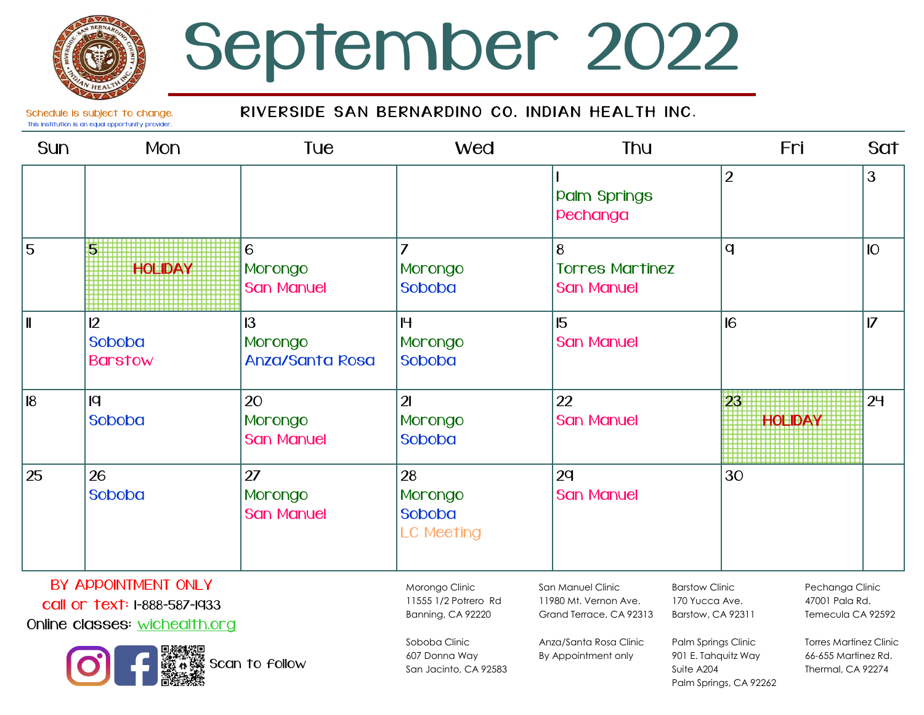## September 2022

#### RIVERSIDE SAN BERNARDINO CO. INDIAN HEALTH INC.

Schedule is subject to change. This institution is an equal opportunity provider.

| <b>Sun</b>     | <b>Mon</b>                     | Tue                                                | <b>Wed</b>                                   | <b>Thu</b>                                       | Fri                                      | Sat            |
|----------------|--------------------------------|----------------------------------------------------|----------------------------------------------|--------------------------------------------------|------------------------------------------|----------------|
|                |                                |                                                    |                                              | <b>Palm Springs</b><br>pechanga                  | $\overline{2}$                           | 3              |
| 5              | <b>HOLIDAY</b>                 | 6<br>Morongo<br><b>San Manuel</b>                  | $\overline{z}$<br>Morongo<br>Soboba          | 8<br><b>Torres Martinez</b><br><b>San Manuel</b> | q                                        | IO             |
| $\blacksquare$ | 12<br>Soboba<br><b>Barstow</b> | $\mathsf{I}3$<br>Morongo<br><b>Anza/Santa Rosa</b> | H<br>Morongo<br>Soboba                       | 15<br><b>San Manuel</b>                          | 16                                       | $\overline{7}$ |
| 8              | q <br>Soboba                   | 20<br>Morongo<br><b>San Manuel</b>                 | $\overline{2}$<br>Morongo<br>Soboba          | 22<br><b>San Manuel</b>                          | 23<br><b>HOLIDAY</b>                     | 2 <sup>4</sup> |
| 25             | 26<br>Soboba                   | 27<br>Morongo<br><b>San Manuel</b>                 | 28<br>Morongo<br>Soboba<br><b>LC Meeting</b> | 2q<br><b>San Manuel</b>                          | 30                                       |                |
|                | BY APPOINTMENT ONLY            |                                                    | Morongo Clinic                               | San Manuel Clinic                                | <b>Barstow Clinic</b><br>Pechanaa Clinic |                |

call or text: 1-888-587-1933

Online classes: wichealth.org



Banning, CA 92220 Soboba Clinic

11555 1/2 Potrero Rd

607 Donna Way San Jacinto, CA 92583 San Manuel Clinic 11980 Mt. Vernon Ave. Grand Terrace, CA 92313

Anza/Santa Rosa Clinic By Appointment only

Barstow Clinic 170 Yucca Ave. Barstow, CA 92311

Suite A204

Palm Springs Clinic 901 E. Tahquitz Way

Palm Springs, CA 92262

Pechanga Clinic 47001 Pala Rd. Temecula CA 92592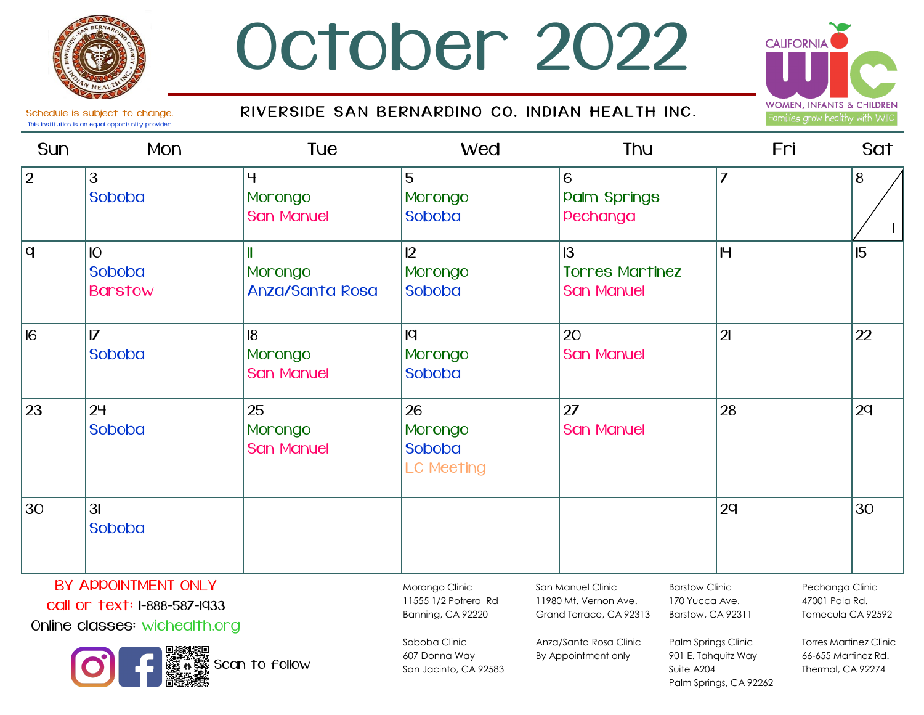### October 2022

#### RIVERSIDE SAN BERNARDINO CO. INDIAN HEALTH INC.



Schedule is subject to change. This institution is an equal opportunity provider.

#### Sun Mon Tue Wed Thu Fri Sat  $2 \t|3$ Soboba 4 Morongo **San Manuel** 5 Morongo Soboba 6 **Palm Springs** Pechanga 7 | 8  $q \mid$  10 Soboba Barstow 11 Morongo Anza/Santa Rosa 12 Morongo Soboba 13 Torres Martinez San Manuel 15 15 16 16 Soboba  $18$ Morongo **San Manuel**  $|q|$ Morongo Soboba 20 San Manuel 21 22  $23$  |  $24$ Soboba 25 Morongo San Manuel 26 Morongo Soboba LC Meeting 27 **San Manuel** 24 22  $30 \quad |31$ Soboba 29 30 1 Morongo Clinic San Manuel Clinic Barstow Clinic Pechanga Clinic BY APPOINTMENT ONI Y

call or text: 1-888-587-1933

Online classes: wichealth.org



Soboba Clinic 607 Donna Way San Jacinto, CA 92583

11555 1/2 Potrero Rd Banning, CA 92220

11980 Mt. Vernon Ave. Grand Terrace, CA 92313

Anza/Santa Rosa Clinic By Appointment only

170 Yucca Ave. Barstow, CA 92311

Suite A204

Palm Springs Clinic 901 E. Tahquitz Way

Palm Springs, CA 92262

47001 Pala Rd. Temecula CA 92592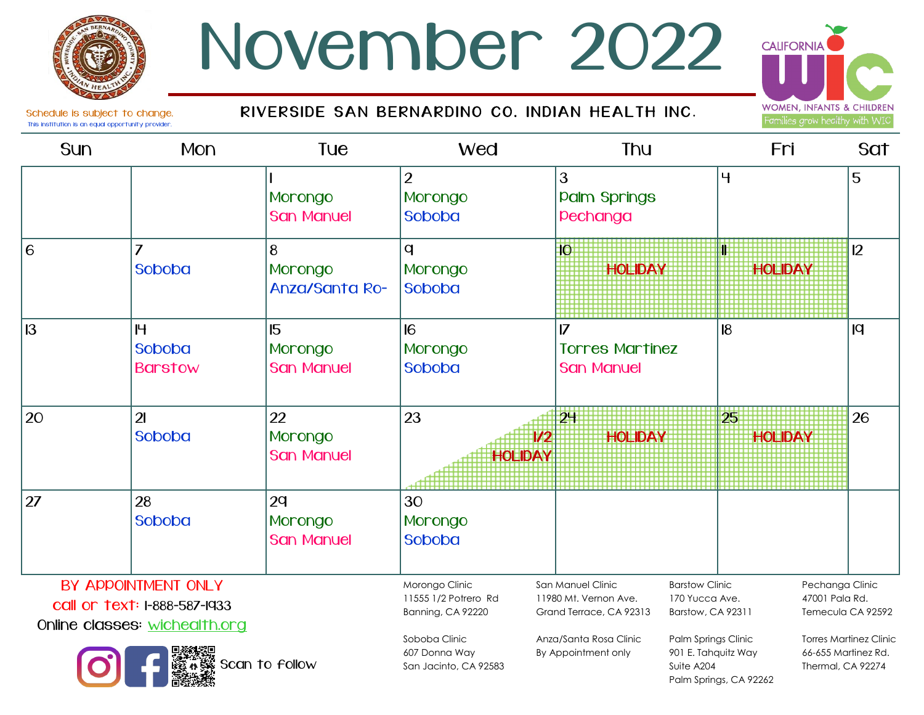### November 2022

#### RIVERSIDE SAN BERNARDINO CO. INDIAN HEALTH INC.



Schedule is subject to change. This institution is an equal opportunity provider.

#### Sun Mon Tue Wed Thu Fri Sat 1 Morongo San Manuel  $\overline{\mathcal{L}}$ Morongo Soboba 3 **Palm Springs** Pechanga 5 5 6 6 Soboba 4 Morongo Anza/Santa Ro- $\mathbf q$ Morongo Soboba 10 **HOLIDAY** 11 **HOLIDAY** 12 13 | H Soboba Barstow 15 Morongo San Manuel 16 Morongo Soboba 17 Torres Martinez San Manuel 18 19  $20$  |21 Soboba 22 Morongo San Manuel 23 1/2 **HOLIDAY** 24 **HOLIDAY** 25 **HOLIDAY** 26  $27$  |  $28$ Soboba  $2q$ Morongo San Manuel 30 Morongo Soboba Morongo Clinic 11555 1/2 Potrero Rd San Manuel Clinic 11980 Mt. Vernon Ave. Barstow Clinic 170 Yucca Ave. Pechanga Clinic 47001 Pala Rd. BY APPOINTMENT ONLY

call or text: 1-888-587-1933

Online classes: wichealth.org



607 Donna Way San Jacinto, CA 92583

Banning, CA 92220

Soboba Clinic

Anza/Santa Rosa Clinic By Appointment only

Grand Terrace, CA 92313

Palm Springs Clinic 901 E. Tahquitz Way Suite A204 Palm Springs, CA 92262

Barstow, CA 92311

Torres Martinez Clinic 66-655 Martinez Rd. Thermal, CA 92274

Temecula CA 92592